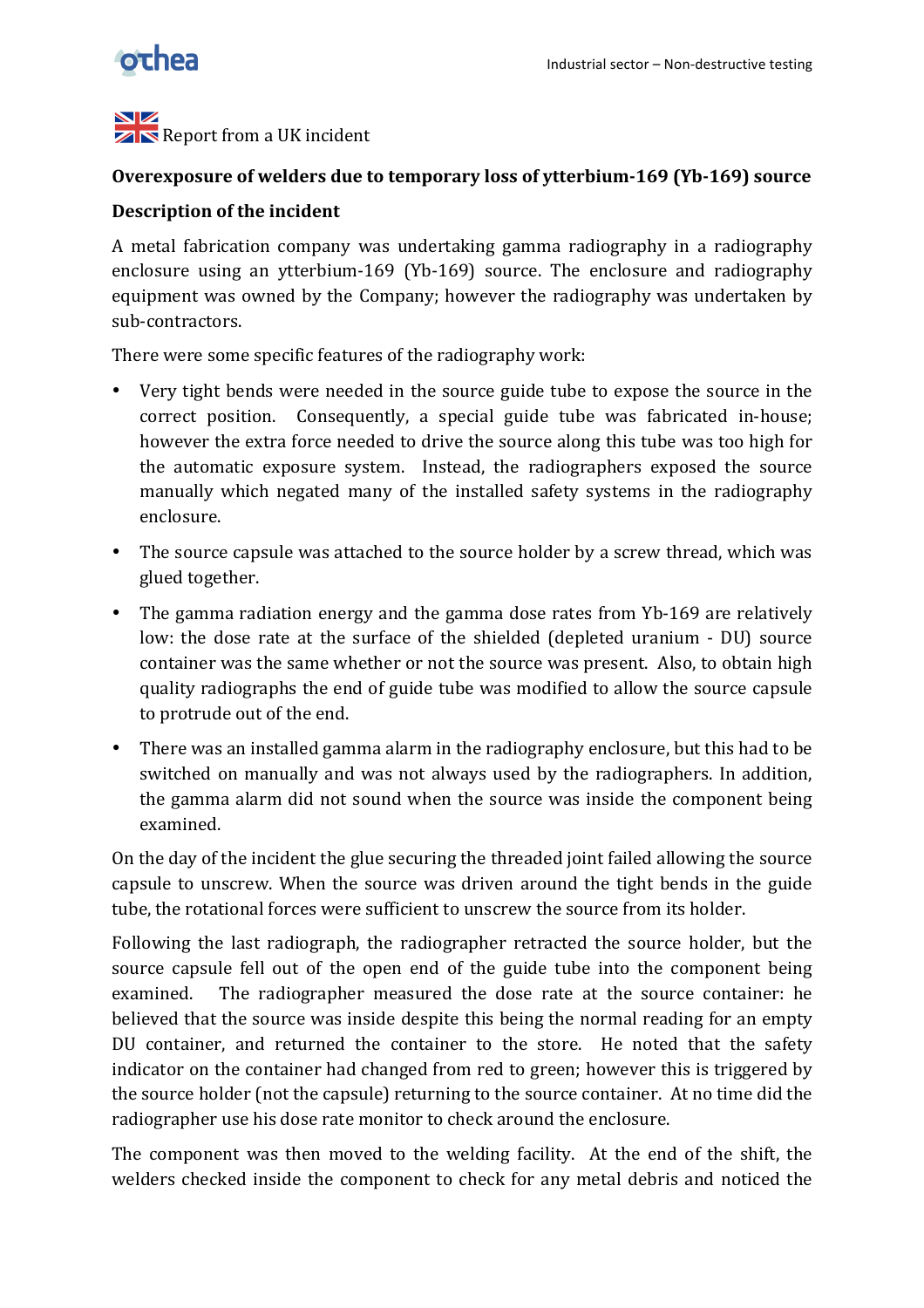

#### NZ  $\mathbb{Z}$  Report from a UK incident

### **Overexposure of welders due to temporary loss of ytterbium-169 (Yb-169) source**

## **Description of the incident**

A metal fabrication company was undertaking gamma radiography in a radiography enclosure using an ytterbium-169 (Yb-169) source. The enclosure and radiography equipment was owned by the Company; however the radiography was undertaken by sub-contractors.

There were some specific features of the radiography work:

- Very tight bends were needed in the source guide tube to expose the source in the correct position. Consequently, a special guide tube was fabricated in-house; however the extra force needed to drive the source along this tube was too high for the automatic exposure system. Instead, the radiographers exposed the source manually which negated many of the installed safety systems in the radiography enclosure.
- The source capsule was attached to the source holder by a screw thread, which was glued together.
- The gamma radiation energy and the gamma dose rates from Yb-169 are relatively low: the dose rate at the surface of the shielded (depleted uranium - DU) source container was the same whether or not the source was present. Also, to obtain high quality radiographs the end of guide tube was modified to allow the source capsule to protrude out of the end.
- There was an installed gamma alarm in the radiography enclosure, but this had to be switched on manually and was not always used by the radiographers. In addition, the gamma alarm did not sound when the source was inside the component being examined.

On the day of the incident the glue securing the threaded joint failed allowing the source capsule to unscrew. When the source was driven around the tight bends in the guide tube, the rotational forces were sufficient to unscrew the source from its holder.

Following the last radiograph, the radiographer retracted the source holder, but the source capsule fell out of the open end of the guide tube into the component being examined. The radiographer measured the dose rate at the source container: he believed that the source was inside despite this being the normal reading for an empty DU container, and returned the container to the store. He noted that the safety indicator on the container had changed from red to green; however this is triggered by the source holder (not the capsule) returning to the source container. At no time did the radiographer use his dose rate monitor to check around the enclosure.

The component was then moved to the welding facility. At the end of the shift, the welders checked inside the component to check for any metal debris and noticed the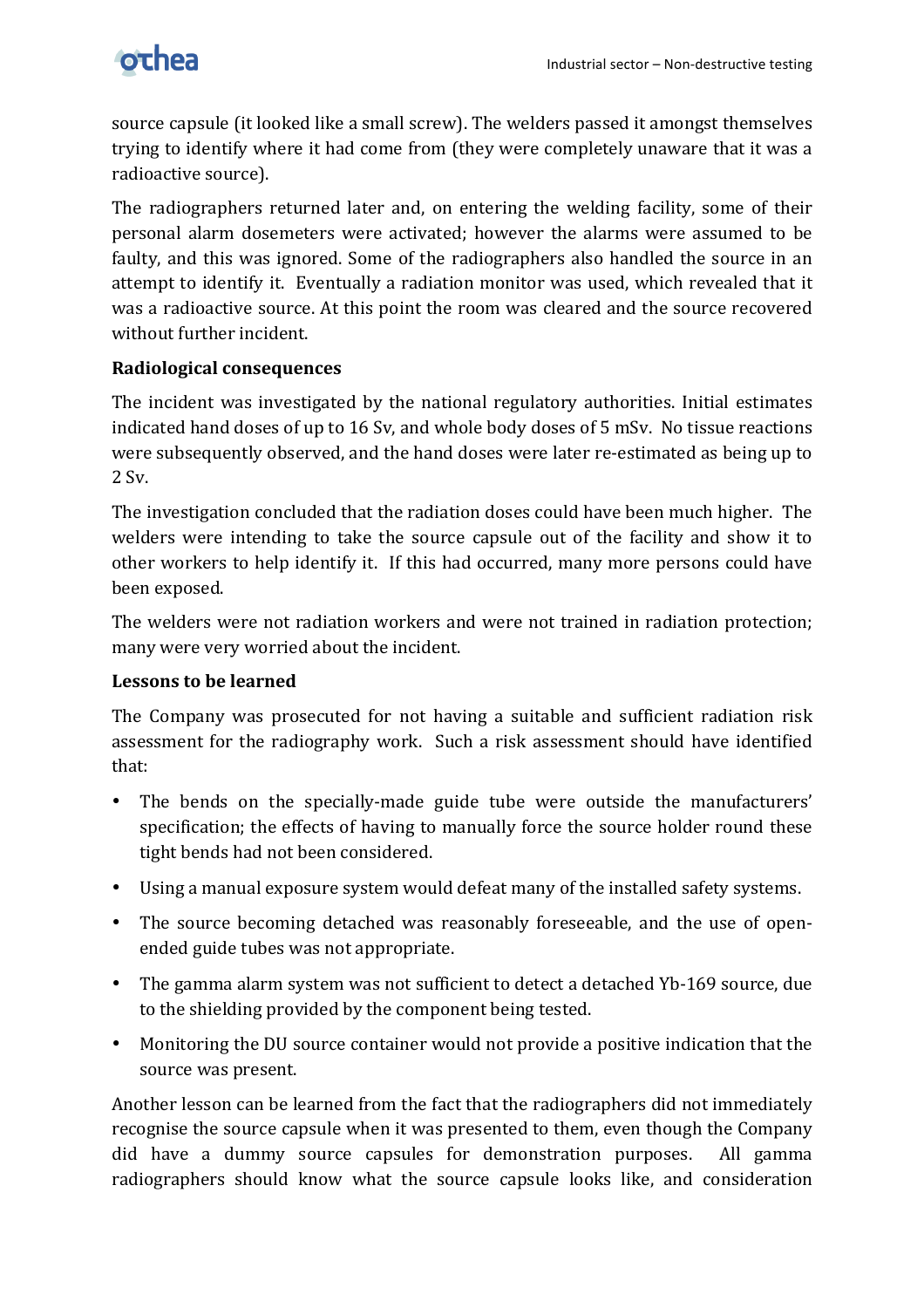

source capsule (it looked like a small screw). The welders passed it amongst themselves trying to identify where it had come from (they were completely unaware that it was a radioactive source).

The radiographers returned later and, on entering the welding facility, some of their personal alarm dosemeters were activated; however the alarms were assumed to be faulty, and this was ignored. Some of the radiographers also handled the source in an attempt to identify it. Eventually a radiation monitor was used, which revealed that it was a radioactive source. At this point the room was cleared and the source recovered without further incident.

# **Radiological consequences**

The incident was investigated by the national regulatory authorities. Initial estimates indicated hand doses of up to 16 Sv, and whole body doses of 5 mSv. No tissue reactions were subsequently observed, and the hand doses were later re-estimated as being up to  $2 Sv.$ 

The investigation concluded that the radiation doses could have been much higher. The welders were intending to take the source capsule out of the facility and show it to other workers to help identify it. If this had occurred, many more persons could have been exposed.

The welders were not radiation workers and were not trained in radiation protection; many were very worried about the incident.

# Lessons to be learned

The Company was prosecuted for not having a suitable and sufficient radiation risk assessment for the radiography work. Such a risk assessment should have identified that:

- The bends on the specially-made guide tube were outside the manufacturers' specification; the effects of having to manually force the source holder round these tight bends had not been considered.
- Using a manual exposure system would defeat many of the installed safety systems.
- The source becoming detached was reasonably foreseeable, and the use of openended guide tubes was not appropriate.
- The gamma alarm system was not sufficient to detect a detached Yb-169 source, due to the shielding provided by the component being tested.
- Monitoring the DU source container would not provide a positive indication that the source was present.

Another lesson can be learned from the fact that the radiographers did not immediately recognise the source capsule when it was presented to them, even though the Company did have a dummy source capsules for demonstration purposes. All gamma radiographers should know what the source capsule looks like, and consideration